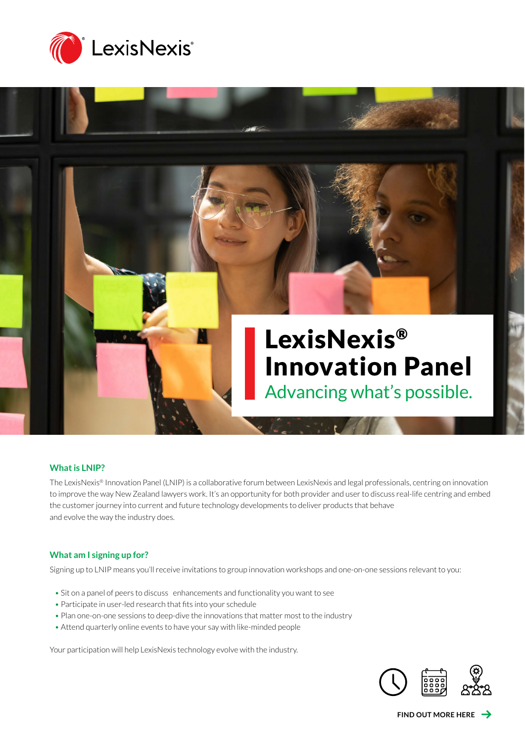

# LexisNexis® Innovation Panel

Advancing what's possible.

#### **What is LNIP?**

The LexisNexis® Innovation Panel (LNIP) is a collaborative forum between LexisNexis and legal professionals, centring on innovation to improve the way New Zealand lawyers work. It's an opportunity for both provider and user to discuss real-life centring and embed the customer journey into current and future technology developments to deliver products that behave and evolve the way the industry does.

#### **What am I signing up for?**

Signing up to LNIP means you'll receive invitations to group innovation workshops and one-on-one sessions relevant to you:

- Sit on a panel of peers to discuss enhancements and functionality you want to see
- Participate in user-led research that fits into your schedule
- Plan one-on-one sessions to deep-dive the innovations that matter most to the industry
- Attend quarterly online events to have your say with like-minded people

Your participation will help LexisNexis technology evolve with the industry.

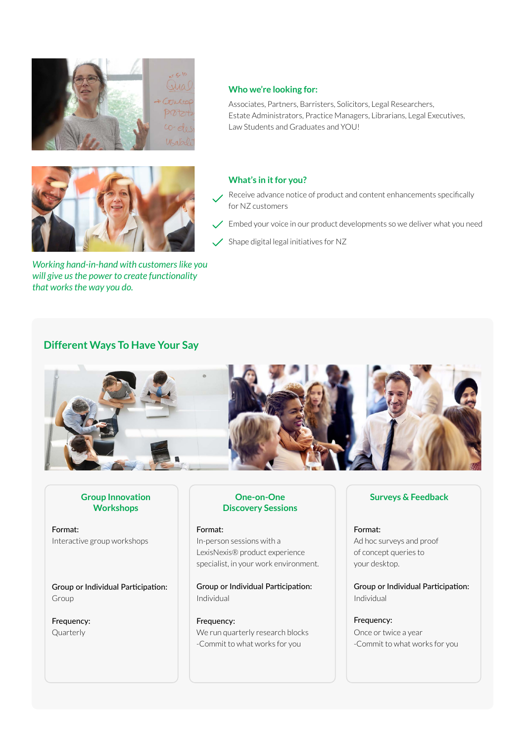



*Working hand-in-hand with customers like you will give us the power to create functionality that works the way you do.*

#### **Who we're looking for:**

Associates, Partners, Barristers, Solicitors, Legal Researchers, Estate Administrators, Practice Managers, Librarians, Legal Executives, Law Students and Graduates and YOU!

#### **What's in it for you?**

- Receive advance notice of product and content enhancements specifically for NZ customers
- $\angle$  Embed your voice in our product developments so we deliver what you need
- Shape digital legal initiatives for NZ

### **Different Ways To Have Your Say**



#### **Group Innovation Workshops**

Format: Interactive group workshops

Group or Individual Participation: Group

Frequency: Quarterly

#### **One-on-One Discovery Sessions**

#### Format:

In-person sessions with a LexisNexis® product experience specialist, in your work environment.

Group or Individual Participation: Individual

Frequency: We run quarterly research blocks -Commit to what works for you

#### **Surveys & Feedback**

Format: Ad hoc surveys and proof of concept queries to your desktop.

Group or Individual Participation: Individual

Frequency: Once or twice a year -Commit to what works for you